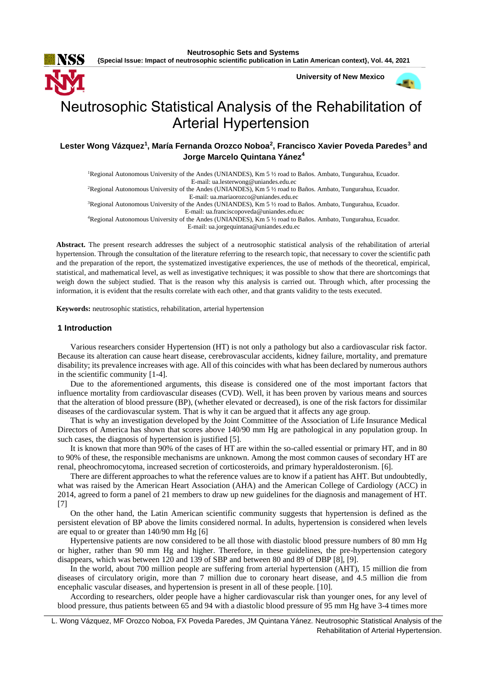**University of New Mexico**

# Neutrosophic Statistical Analysis of the Rehabilitation of Arterial Hypertension

## **Lester Wong Vázquez<sup>1</sup> , María Fernanda Orozco Noboa<sup>2</sup> , Francisco Xavier Poveda Paredes<sup>3</sup> and Jorge Marcelo Quintana Yánez<sup>4</sup>**

<sup>1</sup>Regional Autonomous University of the Andes (UNIANDES), Km 5 ½ road to Baños. Ambato, Tungurahua, Ecuador. E-mail: [ua.lesterwong@uniandes.edu.ec](mailto:ua.lesterwong@uniandes.edu.ec) <sup>2</sup>Regional Autonomous University of the Andes (UNIANDES), Km 5 ½ road to Baños. Ambato, Tungurahua, Ecuador. E-mail[: ua.mariaorozco@uniandes.edu.ec](mailto:ua.mariaorozco@uniandes.edu.ec) <sup>3</sup>Regional Autonomous University of the Andes (UNIANDES), Km 5 ½ road to Baños. Ambato, Tungurahua, Ecuador. E-mail[: ua.franciscopoveda@uniandes.edu.ec](mailto:ua.franciscopoveda@uniandes.edu.ec) <sup>4</sup>Regional Autonomous University of the Andes (UNIANDES), Km 5 ½ road to Baños. Ambato, Tungurahua, Ecuador. E-mail[: ua.jorgequintana@uniandes.edu.ec](mailto:ua.jorgequintana@uniandes.edu.ec)

**Abstract.** The present research addresses the subject of a neutrosophic statistical analysis of the rehabilitation of arterial hypertension. Through the consultation of the literature referring to the research topic, that necessary to cover the scientific path and the preparation of the report, the systematized investigative experiences, the use of methods of the theoretical, empirical, statistical, and mathematical level, as well as investigative techniques; it was possible to show that there are shortcomings that weigh down the subject studied. That is the reason why this analysis is carried out. Through which, after processing the information, it is evident that the results correlate with each other, and that grants validity to the tests executed.

**Keywords:** neutrosophic statistics, rehabilitation, arterial hypertension

#### **1 Introduction**

Various researchers consider Hypertension (HT) is not only a pathology but also a cardiovascular risk factor. Because its alteration can cause heart disease, cerebrovascular accidents, kidney failure, mortality, and premature disability; its prevalence increases with age. All of this coincides with what has been declared by numerous authors in the scientific community [1-4].

Due to the aforementioned arguments, this disease is considered one of the most important factors that influence mortality from cardiovascular diseases (CVD). Well, it has been proven by various means and sources that the alteration of blood pressure (BP), (whether elevated or decreased), is one of the risk factors for dissimilar diseases of the cardiovascular system. That is why it can be argued that it affects any age group.

That is why an investigation developed by the Joint Committee of the Association of Life Insurance Medical Directors of America has shown that scores above 140/90 mm Hg are pathological in any population group. In such cases, the diagnosis of hypertension is justified [5].

It is known that more than 90% of the cases of HT are within the so-called essential or primary HT, and in 80 to 90% of these, the responsible mechanisms are unknown. Among the most common causes of secondary HT are renal, pheochromocytoma, increased secretion of corticosteroids, and primary hyperaldosteronism. [6].

There are different approaches to what the reference values are to know if a patient has AHT. But undoubtedly, what was raised by the American Heart Association (AHA) and the American College of Cardiology (ACC) in 2014, agreed to form a panel of 21 members to draw up new guidelines for the diagnosis and management of HT. [7]

On the other hand, the Latin American scientific community suggests that hypertension is defined as the persistent elevation of BP above the limits considered normal. In adults, hypertension is considered when levels are equal to or greater than 140/90 mm Hg [6]

Hypertensive patients are now considered to be all those with diastolic blood pressure numbers of 80 mm Hg or higher, rather than 90 mm Hg and higher. Therefore, in these guidelines, the pre-hypertension category disappears, which was between 120 and 139 of SBP and between 80 and 89 of DBP [8], [9].

In the world, about 700 million people are suffering from arterial hypertension (AHT), 15 million die from diseases of circulatory origin, more than 7 million due to coronary heart disease, and 4.5 million die from encephalic vascular diseases, and hypertension is present in all of these people. [10].

According to researchers, older people have a higher cardiovascular risk than younger ones, for any level of blood pressure, thus patients between 65 and 94 with a diastolic blood pressure of 95 mm Hg have 3-4 times more

L. Wong Vázquez, MF Orozco Noboa, FX Poveda Paredes, JM Quintana Yánez. Neutrosophic Statistical Analysis of the Rehabilitation of Arterial Hypertension.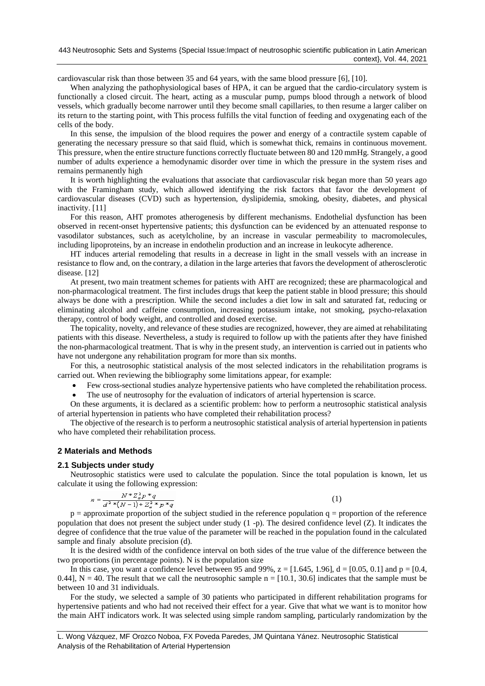cardiovascular risk than those between 35 and 64 years, with the same blood pressure [6], [10].

When analyzing the pathophysiological bases of HPA, it can be argued that the cardio-circulatory system is functionally a closed circuit. The heart, acting as a muscular pump, pumps blood through a network of blood vessels, which gradually become narrower until they become small capillaries, to then resume a larger caliber on its return to the starting point, with This process fulfills the vital function of feeding and oxygenating each of the cells of the body.

In this sense, the impulsion of the blood requires the power and energy of a contractile system capable of generating the necessary pressure so that said fluid, which is somewhat thick, remains in continuous movement. This pressure, when the entire structure functions correctly fluctuate between 80 and 120 mmHg. Strangely, a good number of adults experience a hemodynamic disorder over time in which the pressure in the system rises and remains permanently high

It is worth highlighting the evaluations that associate that cardiovascular risk began more than 50 years ago with the Framingham study, which allowed identifying the risk factors that favor the development of cardiovascular diseases (CVD) such as hypertension, dyslipidemia, smoking, obesity, diabetes, and physical inactivity. [11]

For this reason, AHT promotes atherogenesis by different mechanisms. Endothelial dysfunction has been observed in recent-onset hypertensive patients; this dysfunction can be evidenced by an attenuated response to vasodilator substances, such as acetylcholine, by an increase in vascular permeability to macromolecules, including lipoproteins, by an increase in endothelin production and an increase in leukocyte adherence.

HT induces arterial remodeling that results in a decrease in light in the small vessels with an increase in resistance to flow and, on the contrary, a dilation in the large arteries that favors the development of atherosclerotic disease. [12]

At present, two main treatment schemes for patients with AHT are recognized; these are pharmacological and non-pharmacological treatment. The first includes drugs that keep the patient stable in blood pressure; this should always be done with a prescription. While the second includes a diet low in salt and saturated fat, reducing or eliminating alcohol and caffeine consumption, increasing potassium intake, not smoking, psycho-relaxation therapy, control of body weight, and controlled and dosed exercise.

The topicality, novelty, and relevance of these studies are recognized, however, they are aimed at rehabilitating patients with this disease. Nevertheless, a study is required to follow up with the patients after they have finished the non-pharmacological treatment. That is why in the present study, an intervention is carried out in patients who have not undergone any rehabilitation program for more than six months.

For this, a neutrosophic statistical analysis of the most selected indicators in the rehabilitation programs is carried out. When reviewing the bibliography some limitations appear, for example:

- Few cross-sectional studies analyze hypertensive patients who have completed the rehabilitation process.
- The use of neutrosophy for the evaluation of indicators of arterial hypertension is scarce.

On these arguments, it is declared as a scientific problem: how to perform a neutrosophic statistical analysis of arterial hypertension in patients who have completed their rehabilitation process?

The objective of the research is to perform a neutrosophic statistical analysis of arterial hypertension in patients who have completed their rehabilitation process.

## **2 Materials and Methods**

## **2.1 Subjects under study**

Neutrosophic statistics were used to calculate the population. Since the total population is known, let us calculate it using the following expression:

$$
n = \frac{N * Z_a^2 p * q}{d^2 * (N - 1) + Z_a^2 * p * q}
$$

(1)

 $p =$  approximate proportion of the subject studied in the reference population  $q =$  proportion of the reference population that does not present the subject under study (1 -p). The desired confidence level (Z). It indicates the degree of confidence that the true value of the parameter will be reached in the population found in the calculated sample and finaly absolute precision (d).

It is the desired width of the confidence interval on both sides of the true value of the difference between the two proportions (in percentage points). N is the population size

In this case, you want a confidence level between 95 and 99%,  $z = [1.645, 1.96]$ ,  $d = [0.05, 0.1]$  and  $p = [0.4, 1.96]$ 0.44],  $N = 40$ . The result that we call the neutrosophic sample  $n = [10.1, 30.6]$  indicates that the sample must be between 10 and 31 individuals.

For the study, we selected a sample of 30 patients who participated in different rehabilitation programs for hypertensive patients and who had not received their effect for a year. Give that what we want is to monitor how the main AHT indicators work. It was selected using simple random sampling, particularly randomization by the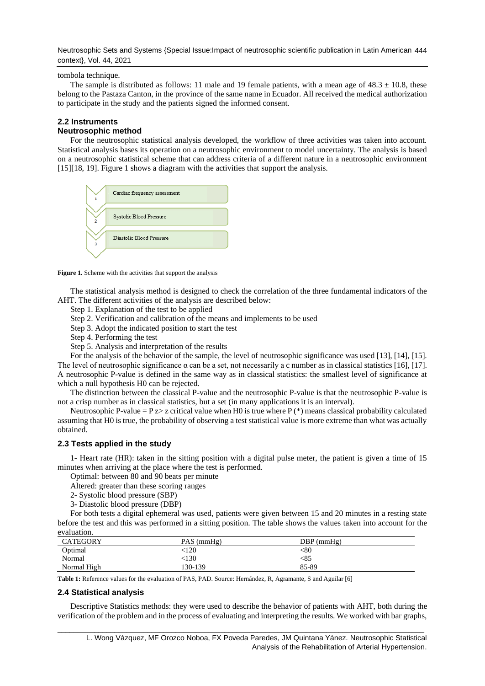Neutrosophic Sets and Systems {Special Issue:Impact of neutrosophic scientific publication in Latin American 444 context}, Vol. 44, 2021

tombola technique.

The sample is distributed as follows: 11 male and 19 female patients, with a mean age of  $48.3 \pm 10.8$ , these belong to the Pastaza Canton, in the province of the same name in Ecuador. All received the medical authorization to participate in the study and the patients signed the informed consent.

## **2.2 Instruments**

## **Neutrosophic method**

For the neutrosophic statistical analysis developed, the workflow of three activities was taken into account. Statistical analysis bases its operation on a neutrosophic environment to model uncertainty. The analysis is based on a neutrosophic statistical scheme that can address criteria of a different nature in a neutrosophic environment [15][18, 19]. Figure 1 shows a diagram with the activities that support the analysis.



Figure 1. Scheme with the activities that support the analysis

The statistical analysis method is designed to check the correlation of the three fundamental indicators of the AHT. The different activities of the analysis are described below:

- Step 1. Explanation of the test to be applied
- Step 2. Verification and calibration of the means and implements to be used
- Step 3. Adopt the indicated position to start the test
- Step 4. Performing the test

Step 5. Analysis and interpretation of the results

For the analysis of the behavior of the sample, the level of neutrosophic significance was used [13], [14], [15]. The level of neutrosophic significance  $\alpha$  can be a set, not necessarily a c number as in classical statistics [16], [17]. A neutrosophic P-value is defined in the same way as in classical statistics: the smallest level of significance at which a null hypothesis H0 can be rejected.

The distinction between the classical P-value and the neutrosophic P-value is that the neutrosophic P-value is not a crisp number as in classical statistics, but a set (in many applications it is an interval).

Neutrosophic P-value =  $P z > z$  critical value when H0 is true where P (\*) means classical probability calculated assuming that H0 is true, the probability of observing a test statistical value is more extreme than what was actually obtained.

## **2.3 Tests applied in the study**

1- Heart rate (HR): taken in the sitting position with a digital pulse meter, the patient is given a time of 15 minutes when arriving at the place where the test is performed.

Optimal: between 80 and 90 beats per minute

Altered: greater than these scoring ranges

2- Systolic blood pressure (SBP)

3- Diastolic blood pressure (DBP)

For both tests a digital ephemeral was used, patients were given between 15 and 20 minutes in a resting state before the test and this was performed in a sitting position. The table shows the values taken into account for the evaluation.

| <b>CATEGORY</b> | PAS (mmHg) | $DBP$ (mmHg) |
|-----------------|------------|--------------|
| Optimal         | $\leq 120$ | <80          |
| Normal          | <130       | <85          |
| Normal High     | 130-139    | 85-89        |

**Table 1:** Reference values for the evaluation of PAS, PAD. Source: Hernández, R, Agramante, S and Aguilar [6]

## **2.4 Statistical analysis**

Descriptive Statistics methods: they were used to describe the behavior of patients with AHT, both during the verification of the problem and in the process of evaluating and interpreting the results. We worked with bar graphs,

\_\_\_\_\_\_\_\_\_\_\_\_\_\_\_\_\_\_\_\_\_\_\_\_\_\_\_\_\_\_\_\_\_\_\_\_\_\_\_\_\_\_\_\_\_\_\_\_\_\_\_\_\_\_\_\_\_\_\_\_\_\_\_\_\_\_\_\_\_\_\_\_\_\_\_\_\_\_\_\_\_\_\_\_\_\_\_\_\_\_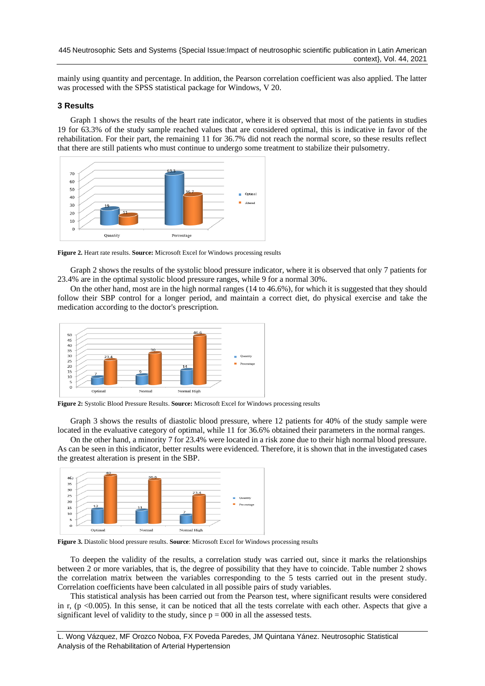mainly using quantity and percentage. In addition, the Pearson correlation coefficient was also applied. The latter was processed with the SPSS statistical package for Windows, V 20.

## **3 Results**

Graph 1 shows the results of the heart rate indicator, where it is observed that most of the patients in studies 19 for 63.3% of the study sample reached values that are considered optimal, this is indicative in favor of the rehabilitation. For their part, the remaining 11 for 36.7% did not reach the normal score, so these results reflect that there are still patients who must continue to undergo some treatment to stabilize their pulsometry.



**Figure 2.** Heart rate results. **Source:** Microsoft Excel for Windows processing results

Graph 2 shows the results of the systolic blood pressure indicator, where it is observed that only 7 patients for 23.4% are in the optimal systolic blood pressure ranges, while 9 for a normal 30%.

On the other hand, most are in the high normal ranges (14 to 46.6%), for which it is suggested that they should follow their SBP control for a longer period, and maintain a correct diet, do physical exercise and take the medication according to the doctor's prescription.



**Figure 2:** Systolic Blood Pressure Results. **Source:** Microsoft Excel for Windows processing results

Graph 3 shows the results of diastolic blood pressure, where 12 patients for 40% of the study sample were located in the evaluative category of optimal, while 11 for 36.6% obtained their parameters in the normal ranges.

On the other hand, a minority 7 for 23.4% were located in a risk zone due to their high normal blood pressure. As can be seen in this indicator, better results were evidenced. Therefore, it is shown that in the investigated cases the greatest alteration is present in the SBP.



**Figure 3.** Diastolic blood pressure results. **Source**: Microsoft Excel for Windows processing results

To deepen the validity of the results, a correlation study was carried out, since it marks the relationships between 2 or more variables, that is, the degree of possibility that they have to coincide. Table number 2 shows the correlation matrix between the variables corresponding to the 5 tests carried out in the present study. Correlation coefficients have been calculated in all possible pairs of study variables.

This statistical analysis has been carried out from the Pearson test, where significant results were considered in r, (p  $\leq 0.005$ ). In this sense, it can be noticed that all the tests correlate with each other. Aspects that give a significant level of validity to the study, since  $p = 000$  in all the assessed tests.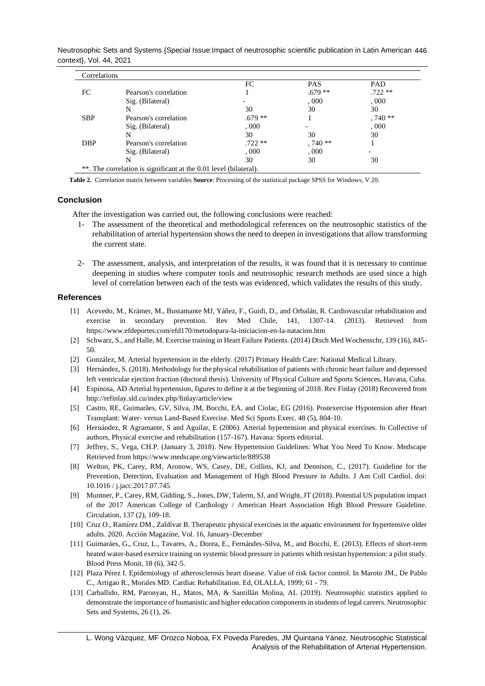Neutrosophic Sets and Systems {Special Issue:Impact of neutrosophic scientific publication in Latin American 446 context}, Vol. 44, 2021

| Correlations |                                                                   |          |            |          |
|--------------|-------------------------------------------------------------------|----------|------------|----------|
|              |                                                                   | FC       | <b>PAS</b> | PAD      |
| FC.          | Pearson's correlation                                             |          | $.679**$   | $.722**$ |
|              | Sig. (Bilateral)                                                  |          | ,000       | .000     |
|              | N                                                                 | 30       | 30         | 30       |
| <b>SBP</b>   | Pearson's correlation                                             | $.679**$ |            | $.740**$ |
|              | Sig. (Bilateral)                                                  | .000.    |            | .000     |
|              | N                                                                 | 30       | 30         | 30       |
| <b>DBP</b>   | Pearson's correlation                                             | $.722**$ | $,740**$   |          |
|              | Sig. (Bilateral)                                                  | .000     | ,000       |          |
|              | N                                                                 | 30       | 30         | 30       |
|              | **. The correlation is significant at the 0.01 level (bilateral). |          |            |          |

**Table 2.** Correlation matrix between variables **Source**: Processing of the statistical package SPSS for Windows, V 20.

## **Conclusion**

After the investigation was carried out, the following conclusions were reached:

- 1- The assessment of the theoretical and methodological references on the neutrosophic statistics of the rehabilitation of arterial hypertension showsthe need to deepen in investigations that allow transforming the current state.
- 2- The assessment, analysis, and interpretation of the results, it was found that it is necessary to continue deepening in studies where computer tools and neutrosophic research methods are used since a high level of correlation between each of the tests was evidenced, which validates the results of this study.

#### **References**

- [1] Acevedo, M., Krämer, M., Bustamante MJ, Yáñez, F., Guidi, D., and Orbalán, R. Cardiovascular rehabilitation and exercise in secondary prevention. Rev Med Chile, 141, 1307-14. (2013). Retrieved from https://www.efdeportes.com/efd170/metodopara-la-iniciacion-en-la-natacion.htm
- [2] Schwarz, S., and Halle, M. Exercise training in Heart Failure Patients. (2014) Dtsch Med Wochenschr, 139 (16), 845- 50.
- [2] González, M. Arterial hypertension in the elderly. (2017) Primary Health Care: National Medical Library.
- [3] Hernández, S. (2018). Methodology for the physical rehabilitation of patients with chronic heart failure and depressed left ventricular ejection fraction (doctoral thesis). University of Physical Culture and Sports Sciences, Havana, Cuba.
- [4] Espinosa, AD Arterial hypertension, figures to define it at the beginning of 2018. Rev Finlay (2018) Recovered from <http://refinlay.sld.cu/index.php/finlay/article/view>
- [5] Castro, RE, Guimarães, GV, Silva, JM, Bocchi, EA, and Ciolac, EG (2016). Postexercise Hypotension after Heart Transplant: Water- versus Land-Based Exercise. Med Sci Sports Exerc. 48 (5), 804-10.
- [6] Hernández, R Agramante, S and Aguilar, E (2006). Arterial hypertension and physical exercises. In Collective of authors, Physical exercise and rehabilitation (157-167). Havana: Sports editorial.
- [7] Jeffrey, S., Vega, CH.P. (January 3, 2018). New Hypertension Guidelines: What You Need To Know. Medscape Retrieved from https://www.medscape.org/viewarticle/889538
- [8] Welton, PK, Carey, RM, Aronow, WS, Casey, DE, Collins, KJ, and Dennison, C., (2017). Guideline for the Prevention, Detection, Evaluation and Management of High Blood Pressure in Adults. J Am Coll Cardiol. doi: 10.1016 / j.jacc.2017.07.745
- [9] Muntner, P., Carey, RM, Gidding, S., Jones, DW, Talerm, SJ, and Wright, JT (2018). Potential US population impact of the 2017 American College of Cardiology / American Heart Association High Blood Pressure Guideline. Circulation, 137 (2), 109-18.
- [10] Cruz O., Ramírez DM., Zaldívar B. Therapeutic physical exercises in the aquatic environment for hypertensive older adults. 2020. Acción Magazine, Vol. 16, January-December
- [11] Guimaráes, G., Cruz, L., Tavares, A., Dorea, E., Fernándes-Silva, M., and Bocchi, E. (2013). Effects of short-term heated water-based exersice training on systemic blood pressure in patients whith resistan hypertension: a pilot study. Blood Press Monit, 18 (6), 342-5.
- [12] Plaza Pérez I. Epidemiology of atherosclerosis heart disease. Value of risk factor control. In Maroto JM., De Pablo C., Artigao R., Morales MD. Cardiac Rehabilitation. Ed, OLALLA, 1999; 61 - 79.
- [13] Carballido, RM, Paronyan, H., Matos, MA, & Santillán Molina, AL (2019). Neutrosophic statistics applied to demonstrate the importance of humanistic and higher education components in students of legal careers. Neutrosophic Sets and Systems, 26 (1), 26.

\_\_\_\_\_\_\_\_\_\_\_\_\_\_\_\_\_\_\_\_\_\_\_\_\_\_\_\_\_\_\_\_\_\_\_\_\_\_\_\_\_\_\_\_\_\_\_\_\_\_\_\_\_\_\_\_\_\_\_\_\_\_\_\_\_\_\_\_\_\_\_\_\_\_\_\_\_\_\_\_\_\_\_\_\_\_\_\_\_\_